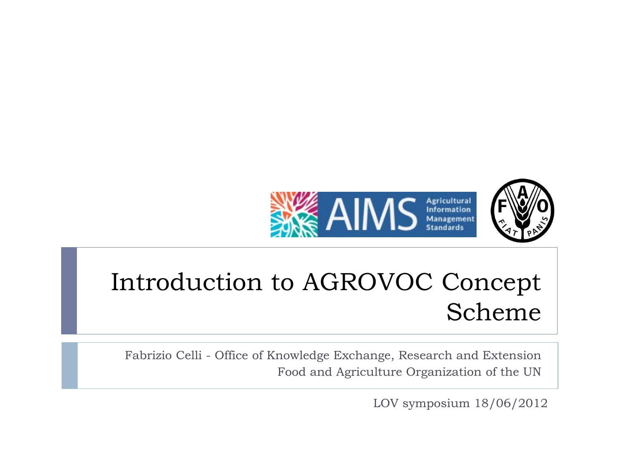



#### Introduction to AGROVOC Concept Scheme

Fabrizio Celli - Office of Knowledge Exchange, Research and Extension Food and Agriculture Organization of the UN

LOV symposium 18/06/2012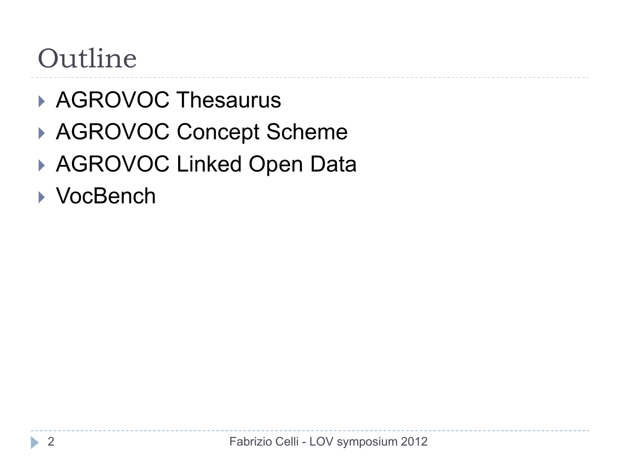#### Outline

- ▶ AGROVOC Thesaurus
- ▶ AGROVOC Concept Scheme
- ▶ AGROVOC Linked Open Data
- ▶ VocBench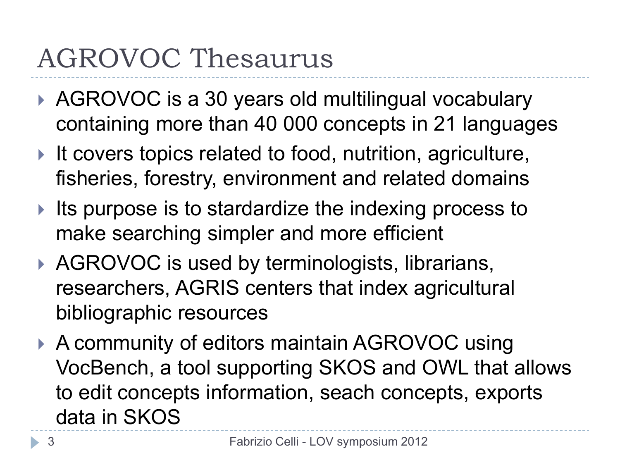#### AGROVOC Thesaurus

- ▶ AGROVOC is a 30 years old multilingual vocabulary containing more than 40 000 concepts in 21 languages
- It covers topics related to food, nutrition, agriculture, fisheries, forestry, environment and related domains
- Its purpose is to stardardize the indexing process to make searching simpler and more efficient
- ▶ AGROVOC is used by terminologists, librarians, researchers, AGRIS centers that index agricultural bibliographic resources
- ▶ A community of editors maintain AGROVOC using VocBench, a tool supporting SKOS and OWL that allows to edit concepts information, seach concepts, exports data in SKOS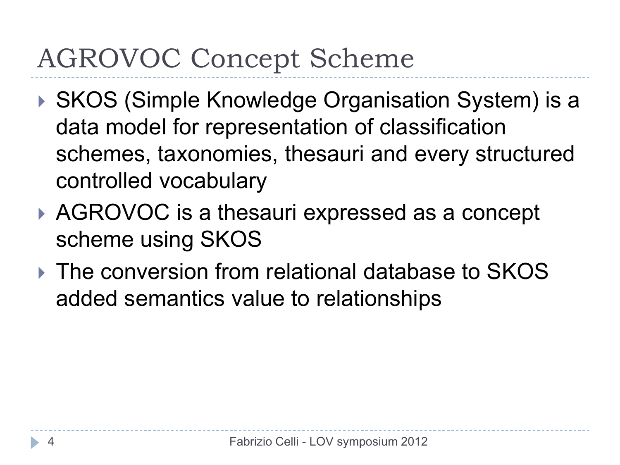### AGROVOC Concept Scheme

- ▶ SKOS (Simple Knowledge Organisation System) is a data model for representation of classification schemes, taxonomies, thesauri and every structured controlled vocabulary
- ▶ AGROVOC is a thesauri expressed as a concept scheme using SKOS
- ▶ The conversion from relational database to SKOS added semantics value to relationships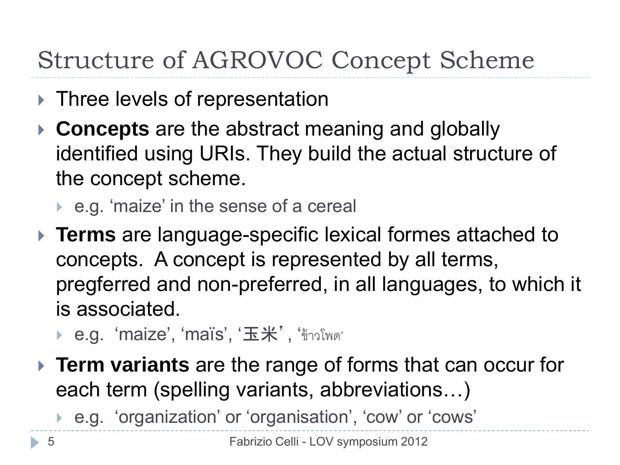#### Structure of AGROVOC Concept Scheme

- ▶ Three levels of representation
- **Concepts** are the abstract meaning and globally identified using URIs. They build the actual structure of the concept scheme.
	- ▶ e.g. 'maize' in the sense of a cereal
- **Terms** are language-specific lexical formes attached to concepts. A concept is represented by all terms, pregferred and non-preferred, in all languages, to which it is associated.
	- ▶ e.g. 'maize', 'maïs', '玉米', 'ข้าวโพด'
- **Term variants** are the range of forms that can occur for each term (spelling variants, abbreviations…)
	- e.g. 'organization' or 'organisation', 'cow' or 'cows'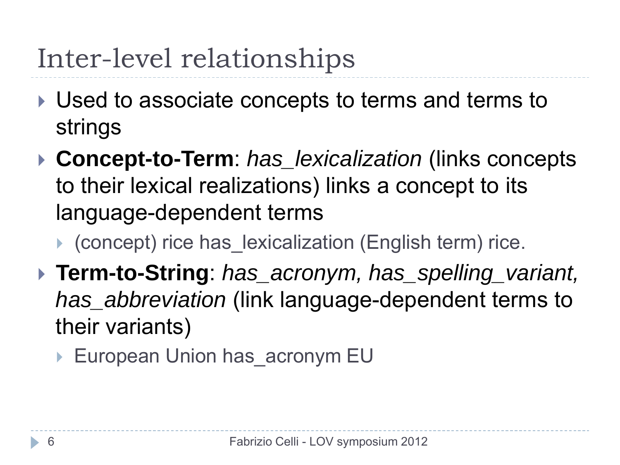### Inter-level relationships

- Used to associate concepts to terms and terms to strings
- **Concept-to-Term**: *has\_lexicalization* (links concepts to their lexical realizations) links a concept to its language-dependent terms

(concept) rice has\_lexicalization (English term) rice.

- **Term-to-String**: *has\_acronym, has\_spelling\_variant, has\_abbreviation* (link language-dependent terms to their variants)
	- ▶ European Union has acronym EU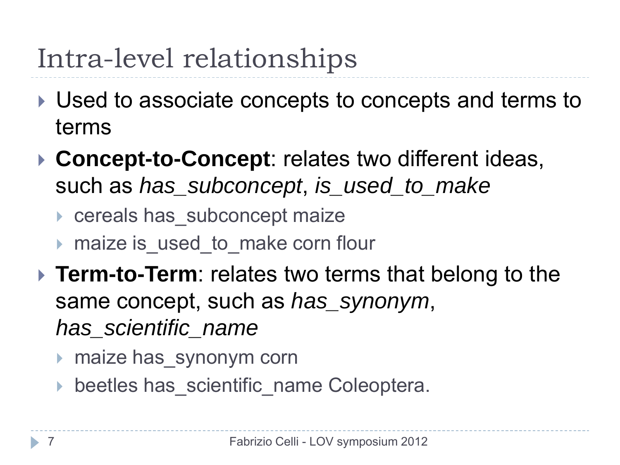# Intra-level relationships

- Used to associate concepts to concepts and terms to terms
- **Concept-to-Concept**: relates two different ideas, such as *has\_subconcept*, *is\_used\_to\_make* 
	- ▶ cereals has subconcept maize
	- maize is used to make corn flour
- **Term-to-Term**: relates two terms that belong to the same concept, such as *has\_synonym*, *has\_scientific\_name* 
	- ▶ maize has synonym corn
	- beetles has scientific name Coleoptera.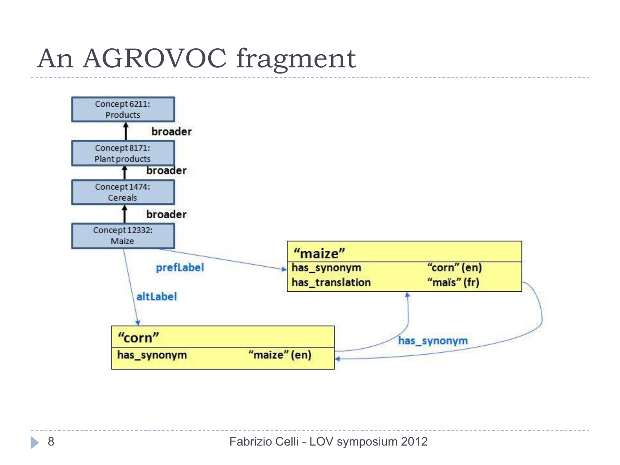# An AGROVOC fragment



h.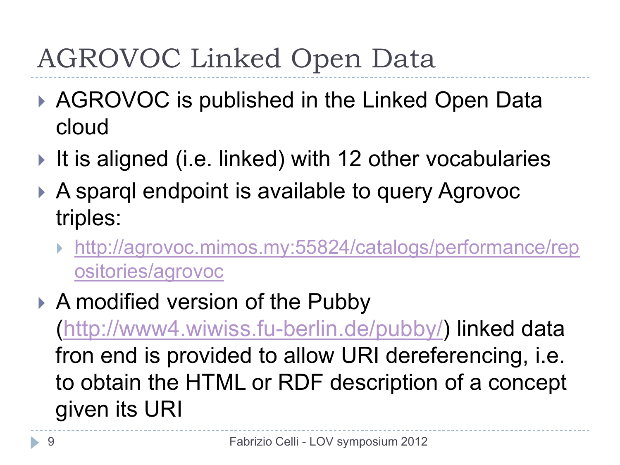# AGROVOC Linked Open Data

- ▶ AGROVOC is published in the Linked Open Data cloud
- If is aligned (i.e. linked) with 12 other vocabularies
- ▶ A sparql endpoint is available to query Agrovoc triples:
	- [http://agrovoc.mimos.my:55824/catalogs/performance/rep](http://agrovoc.mimos.my:55824/catalogs/performance/repositories/agrovoc) [ositories/agrovoc](http://agrovoc.mimos.my:55824/catalogs/performance/repositories/agrovoc)
- ▶ A modified version of the Pubby [\(http://www4.wiwiss.fu-berlin.de/pubby/](http://www4.wiwiss.fu-berlin.de/pubby/)) linked data fron end is provided to allow URI dereferencing, i.e. to obtain the HTML or RDF description of a concept given its URI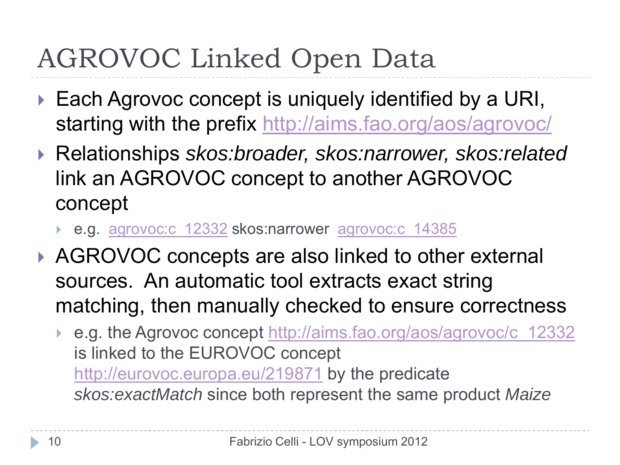# AGROVOC Linked Open Data

- ▶ Each Agrovoc concept is uniquely identified by a URI, starting with the prefix <http://aims.fao.org/aos/agrovoc/>
- Relationships *skos:broader, skos:narrower, skos:related*  link an AGROVOC concept to another AGROVOC concept
	- e.g. [agrovoc:c\\_12332](http://aims.fao.org/aos/agrovoc/c_12332) skos:narrower [agrovoc:c\\_14385](http://aims.fao.org/aos/agrovoc/c_14385)
- ▶ AGROVOC concepts are also linked to other external sources. An automatic tool extracts exact string matching, then manually checked to ensure correctness
	- ▶ e.g. the Agrovoc concept [http://aims.fao.org/aos/agrovoc/c\\_12332](http://aims.fao.org/aos/agrovoc/c_12332) is linked to the EUROVOC concept <http://eurovoc.europa.eu/219871> by the predicate *skos:exactMatch* since both represent the same product *Maize*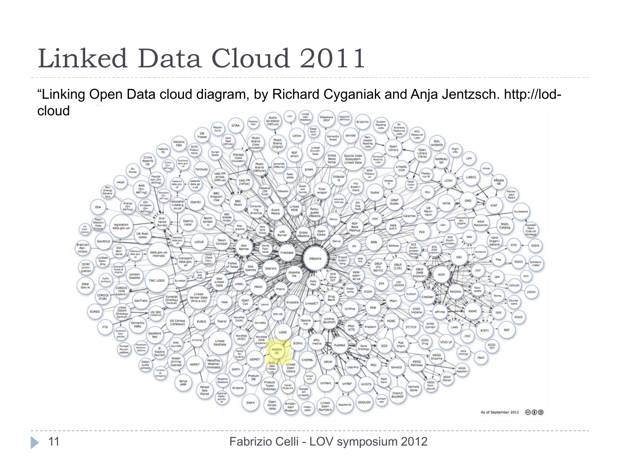### Linked Data Cloud 2011

"Linking Open Data cloud diagram, by Richard Cyganiak and Anja Jentzsch. http://lodcloud<sup>.</sup>

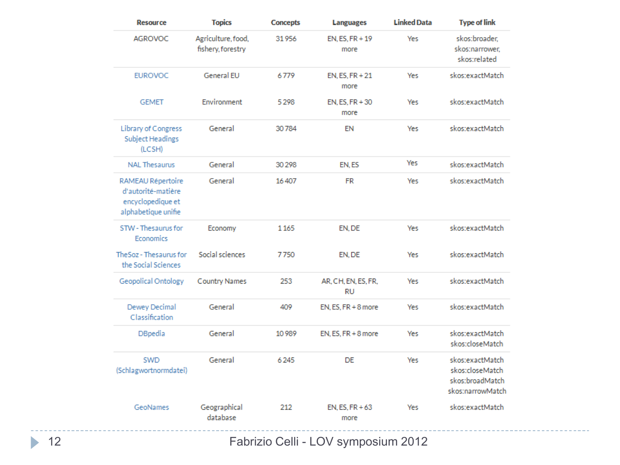| <b>Resource</b>                                                                     | <b>Topics</b><br><b>Concepts</b><br><b>Languages</b> |         | <b>Linked Data</b>                    | <b>Type of link</b> |                                                                           |  |
|-------------------------------------------------------------------------------------|------------------------------------------------------|---------|---------------------------------------|---------------------|---------------------------------------------------------------------------|--|
| <b>AGROVOC</b>                                                                      | Agriculture, food,<br>fishery, forestry              | 31956   | EN. ES. FR + 19<br><b>Yes</b><br>more |                     | skos:broader,<br>skos:narrower,<br>skos:related                           |  |
| <b>EUROVOC</b>                                                                      | General EU                                           | 6779    | EN. ES. FR + 21<br>more               | Yes                 | skos:exactMatch                                                           |  |
| <b>GEMET</b>                                                                        | Environment                                          | 5298    | EN, ES, FR + 30<br>more               | Yes                 | skos:exactMatch                                                           |  |
| Library of Congress<br><b>Subject Headings</b><br>(LCSH)                            | General                                              | 30784   | <b>EN</b>                             | <b>Yes</b>          | skos:exactMatch                                                           |  |
| <b>NAL Thesaurus</b>                                                                | General                                              | 30 298  | EN.ES                                 | Yes                 | skos:exactMatch                                                           |  |
| RAMEAU Répertoire<br>d'autorité-matière<br>encyclopedique et<br>alphabetique unifie | General                                              | 16407   | <b>FR</b>                             | <b>Yes</b>          | skos:exactMatch                                                           |  |
| STW - Thesaurus for<br>Economics                                                    | Economy                                              | 1165    | EN.DE                                 | Yes                 | skos:exactMatch                                                           |  |
| TheSoz - Thesaurus for<br>the Social Sciences                                       | Social sciences                                      | 7750    | EN, DE                                | Yes                 | skos:exactMatch                                                           |  |
| Geopolical Ontology                                                                 | <b>Country Names</b>                                 | 253     | AR. CH. EN. ES. FR.<br><b>RU</b>      | Yes                 | skos:exactMatch                                                           |  |
| Dewey Decimal<br>Classification                                                     | General                                              | 409     | EN, ES, FR + 8 more                   | Yes                 | skos:exactMatch                                                           |  |
| <b>DBpedia</b>                                                                      | General                                              | 10 9 89 | EN, ES, FR + 8 more                   | Yes                 | skos:exactMatch<br>skos:closeMatch                                        |  |
| SWD<br>(Schlagwortnormdatei)                                                        | General                                              | 6245    | <b>DE</b>                             | Yes                 | skos:exactMatch<br>skos:closeMatch<br>skos:broadMatch<br>skos:narrowMatch |  |
| GeoNames                                                                            | Geographical<br>database                             | 212     | $EN, ES, FR + 63$<br>more             | Yes                 | skos:exactMatch                                                           |  |

Fabrizio Celli - LOV symposium 2012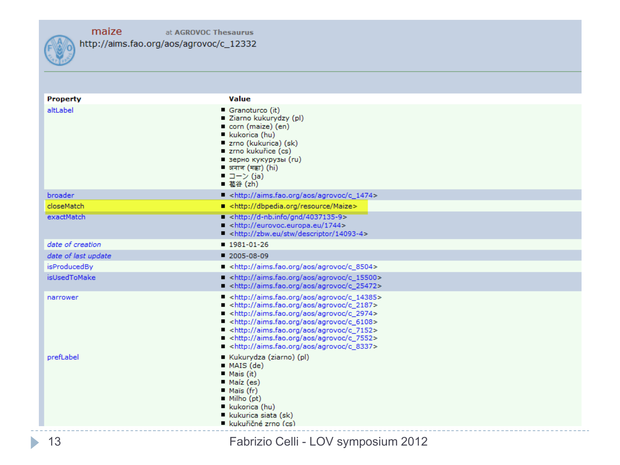

| <b>Property</b>       | Value                                                                                                                                                                                                                                                                                                                                                                                                                                                                                                      |
|-----------------------|------------------------------------------------------------------------------------------------------------------------------------------------------------------------------------------------------------------------------------------------------------------------------------------------------------------------------------------------------------------------------------------------------------------------------------------------------------------------------------------------------------|
| altLabel              | Granoturco (it)<br>■ Ziarno kukurydzy (pl)<br>corn (maize) (en)<br>kukorica (hu)<br>■ zrno (kukurica) (sk)<br>zrno kukuřice (cs)<br>■ зерно кукурузы (ru)<br>■ अनाज (मक्का) (hi)<br>■ コーン (ja)<br>■ 苞谷 (zh)                                                                                                                                                                                                                                                                                                |
| broader               | - <http: agrovoc="" aims.fao.org="" aos="" c_1474=""></http:>                                                                                                                                                                                                                                                                                                                                                                                                                                              |
| closeMatch            | ■ <http: dbpedia.org="" maize="" resource=""></http:>                                                                                                                                                                                                                                                                                                                                                                                                                                                      |
| exactMatch            | $\blacksquare$ <http: 4037135-9="" d-nb.info="" gnd=""><br/><math>\blacksquare</math> <http: 1744="" eurovoc.europa.eu=""><br/>A <http: 14093-4="" descriptor="" stw="" zbw.eu=""></http:></http:></http:>                                                                                                                                                                                                                                                                                                 |
| date of creation      | $1981 - 01 - 26$                                                                                                                                                                                                                                                                                                                                                                                                                                                                                           |
| date of last update   | $2005 - 08 - 09$                                                                                                                                                                                                                                                                                                                                                                                                                                                                                           |
| isProducedBy          | ■ <http: agrovoc="" aims.fao.org="" aos="" c_8504=""></http:>                                                                                                                                                                                                                                                                                                                                                                                                                                              |
| isUsedToMake          | A <http: 15500="" agrovoc="" aims.fao.org="" aos="" c=""><br/>A <http: agrovoc="" aims.fao.org="" aos="" c_25472=""></http:></http:>                                                                                                                                                                                                                                                                                                                                                                       |
| narrower<br>prefLabel | $\blacksquare$ <http: agrovoc="" aims.fao.org="" aos="" c_14385=""><br/>http://aims.fao.org/aos/agrovoc/c_2187&gt;<br/>A <http: 2974="" agrovoc="" aims.fao.org="" aos="" c=""><br/>- <http: agrovoc="" aims.fao.org="" aos="" c_6108=""><br/>- <http: agrovoc="" aims.fao.org="" aos="" c_7152=""><br/>■ <http: agrovoc="" aims.fao.org="" aos="" c_7552=""><br/>http://aims.fao.org/aos/agrovoc/c_8337&gt;<br/>Kukurydza (ziarno) (pl)<br/><math>MAS</math> (de)</http:></http:></http:></http:></http:> |
|                       | $Mais$ (it)<br>Maíz (es)<br>■ Maïs (fr)<br>$\blacksquare$ Milho (pt)<br>■ kukorica (hu)<br>kukurica siata (sk)<br>■ kukuřičné zrno (cs)                                                                                                                                                                                                                                                                                                                                                                    |

ь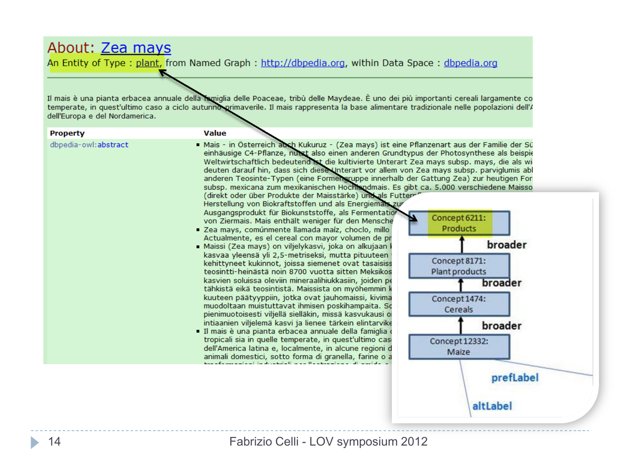#### About: Zea mays

ъ

An Entity of Type: plant, from Named Graph: http://dbpedia.org, within Data Space: dbpedia.org

Il mais è una pianta erbacea annuale della famiglia delle Poaceae, tribù delle Maydeae. È uno dei più importanti cereali largamente co<br>temperate, in quest'ultimo caso a ciclo autunno primaverile. Il mais rappresenta la bas dell'Europa e del Nordamerica.

| <b>Property</b>      | <b>Value</b>                                                                                                                                                                                                                                                                                                                                                                                                                                                                                                                                                                                                                                                                                                                                                                                                                                                                                                                                                                                                                   |
|----------------------|--------------------------------------------------------------------------------------------------------------------------------------------------------------------------------------------------------------------------------------------------------------------------------------------------------------------------------------------------------------------------------------------------------------------------------------------------------------------------------------------------------------------------------------------------------------------------------------------------------------------------------------------------------------------------------------------------------------------------------------------------------------------------------------------------------------------------------------------------------------------------------------------------------------------------------------------------------------------------------------------------------------------------------|
| dbpedia-owl:abstract | Mais - in Österreich auch Kukuruz - (Zea mays) ist eine Pflanzenart aus der Familie der Sü<br>einhäusige C4-Pflanze, nutzt also einen anderen Grundtypus der Photosynthese als beispie<br>Weltwirtschaftlich bedeutend ist die kultivierte Unterart Zea mays subsp. mays, die als wi<br>deuten darauf hin, dass sich diese Unterart vor allem von Zea mays subsp. parviglumis abl<br>anderen Teosinte-Typen (eine Formengruppe innerhalb der Gattung Zea) zur heutigen For<br>subsp. mexicana zum mexikanischen Hochtspdmais. Es gibt ca. 5.000 verschiedene Maisso<br>(direkt oder über Produkte der Maisstärke) und als Futter<br>Herstellung von Biokraftstoffen und als Energiemais zur<br>Ausgangsprodukt für Biokunststoffe, als Fermentatior<br>Concept 6211:<br>von Ziermais. Mais enthält weniger für den Mensche<br><b>Products</b><br>" Zea mays, comúnmente llamada maíz, choclo, millo<br>Actualmente, es el cereal con mayor volumen de pr<br>broader<br>• Maissi (Zea mays) on viljelykasvi, joka on alkujaan l |
|                      | kasvaa yleensä yli 2,5-metriseksi, mutta pituuteen<br>Concept 8171:                                                                                                                                                                                                                                                                                                                                                                                                                                                                                                                                                                                                                                                                                                                                                                                                                                                                                                                                                            |
|                      | kehittyneet kukinnot, joissa siemenet ovat tasaisiss<br>Plant products<br>teosintti-heinästä noin 8700 vuotta sitten Meksikos                                                                                                                                                                                                                                                                                                                                                                                                                                                                                                                                                                                                                                                                                                                                                                                                                                                                                                  |
|                      | kasvien soluissa oleviin mineraalihiukkasiin, joiden pe<br>broader<br>tähkistä eikä teosintistä. Maissista on myöhemmin k                                                                                                                                                                                                                                                                                                                                                                                                                                                                                                                                                                                                                                                                                                                                                                                                                                                                                                      |
|                      | kuuteen päätyyppiin, jotka ovat jauhomaissi, kivima<br>Concept 1474:<br>muodoltaan muistuttavat ihmisen poskihampaita. So<br>Cereals<br>pienimuotoisesti viljellä sielläkin, missä kasvukausi o                                                                                                                                                                                                                                                                                                                                                                                                                                                                                                                                                                                                                                                                                                                                                                                                                                |
|                      | intiaanien viljelemä kasvi ja lienee tärkein elintarvike<br>broader<br>· Il mais è una pianta erbacea annuale della famiglia                                                                                                                                                                                                                                                                                                                                                                                                                                                                                                                                                                                                                                                                                                                                                                                                                                                                                                   |
|                      | tropicali sia in quelle temperate, in quest'ultimo casi<br>Concept 12332:<br>dell'America latina e, localmente, in alcune regioni d<br>Maize<br>animali domestici, sotto forma di granella, farine o a                                                                                                                                                                                                                                                                                                                                                                                                                                                                                                                                                                                                                                                                                                                                                                                                                         |
|                      | prefLabel                                                                                                                                                                                                                                                                                                                                                                                                                                                                                                                                                                                                                                                                                                                                                                                                                                                                                                                                                                                                                      |
|                      | altLabel                                                                                                                                                                                                                                                                                                                                                                                                                                                                                                                                                                                                                                                                                                                                                                                                                                                                                                                                                                                                                       |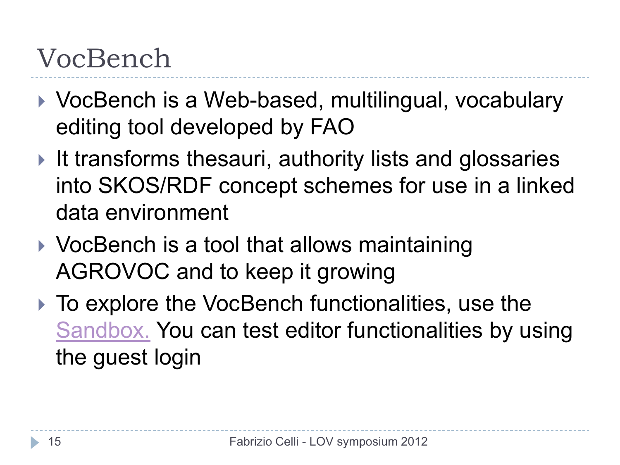#### VocBench

- ▶ VocBench is a Web-based, multilingual, vocabulary editing tool developed by FAO
- It transforms thesauri, authority lists and glossaries into SKOS/RDF concept schemes for use in a linked data environment
- ▶ VocBench is a tool that allows maintaining AGROVOC and to keep it growing
- ▶ To explore the VocBench functionalities, use the [Sandbox.](http://202.73.13.50:55481/vocbenchv1.3i/) You can test editor functionalities by using the guest login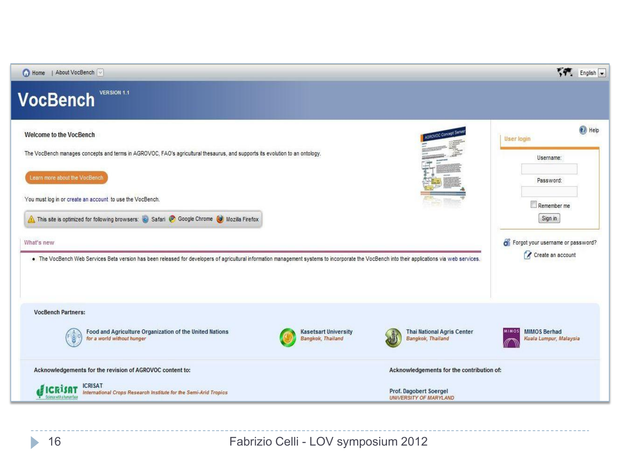

Fabrizio Celli - LOV symposium 2012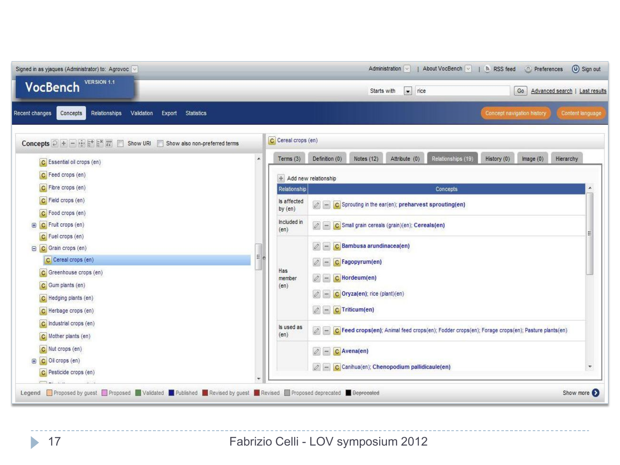| Signed in as yjaques (Administrator) to: Agrovoc v<br><b>VERSION 1.1</b><br><b>VocBench</b>                                                |                  |                     | $\boxed{\bullet}$ rice<br>Go<br>Starts with<br>Advanced search   Last results                                                                                  |  |  |  |  |
|--------------------------------------------------------------------------------------------------------------------------------------------|------------------|---------------------|----------------------------------------------------------------------------------------------------------------------------------------------------------------|--|--|--|--|
| <b>Statistics</b><br>Concepts<br>Relationships<br>Validation<br>Export<br>Recent changes                                                   |                  |                     | Content language<br>Concept navigation history                                                                                                                 |  |  |  |  |
| Concepts $\bigcap$ + - $\bigcap$ $\bigcap$ $\mathbb{R}^*$ $\mathbb{R}^*$ $\mathbb{R}^*$<br>n.<br>Show URI<br>Show also non-preferred terms |                  | C Cereal crops (en) |                                                                                                                                                                |  |  |  |  |
| C Essential oil crops (en)                                                                                                                 | $\blacktriangle$ | Terms $(3)$         | Definition (0)<br>Notes (12)<br>Attribute (0)<br>Relationships (19)<br>History (0)<br>image(0)<br>Hierarchy                                                    |  |  |  |  |
| C Feed crops (en)                                                                                                                          |                  |                     | + Add new relationship                                                                                                                                         |  |  |  |  |
| C Fibre crops (en)                                                                                                                         |                  | Relationship        | Concepts                                                                                                                                                       |  |  |  |  |
| C Field crops (en)                                                                                                                         |                  | is affected         |                                                                                                                                                                |  |  |  |  |
| C Food crops (en)                                                                                                                          |                  | by $(en)$           | C Sprouting in the ear(en); preharvest sprouting(en)                                                                                                           |  |  |  |  |
| C Fruit crops (en)<br>$\bigoplus$                                                                                                          |                  | Included in         | C Small grain cereals (grain)(en); Cereals(en)                                                                                                                 |  |  |  |  |
| C Fuel crops (en)                                                                                                                          |                  | (en)                |                                                                                                                                                                |  |  |  |  |
| C Grain crops (en)<br>Θ                                                                                                                    |                  |                     | C Bambusa arundinacea(en)                                                                                                                                      |  |  |  |  |
| C Cereal crops (en)<br>C Greenhouse crops (en)                                                                                             |                  | Has                 | $2 -$<br>C Fagopyrum(en)                                                                                                                                       |  |  |  |  |
|                                                                                                                                            |                  |                     |                                                                                                                                                                |  |  |  |  |
| C Hedging plants (en)                                                                                                                      |                  |                     | $2-$<br>C Oryza(en); rice (plant)(en)                                                                                                                          |  |  |  |  |
| C Herbage crops (en)                                                                                                                       |                  |                     | $ Z $ - C Triticum(en)                                                                                                                                         |  |  |  |  |
| C Industrial crops (en)                                                                                                                    |                  |                     |                                                                                                                                                                |  |  |  |  |
| C Mother plants (en)<br>C Nut crops (en)                                                                                                   |                  | is used as<br>(en)  | C Feed crops(en); Animal feed crops(en); Fodder crops(en); Forage crops(en); Pasture plants(en)<br>$\begin{array}{c c c c} \hline \mathcal{O} & - \end{array}$ |  |  |  |  |
|                                                                                                                                            |                  |                     |                                                                                                                                                                |  |  |  |  |
| C Oil crops (en)<br>$\bigoplus$                                                                                                            |                  |                     | $\begin{array}{c c c c c} \hline \end{array}$<br>C Avena(en)                                                                                                   |  |  |  |  |
| C Pesticide crops (en)                                                                                                                     |                  |                     | $ Z  =  C $ Canihua(en); Chenopodium pallidicaule(en)<br>$\overline{\phantom{a}}$                                                                              |  |  |  |  |
|                                                                                                                                            |                  |                     |                                                                                                                                                                |  |  |  |  |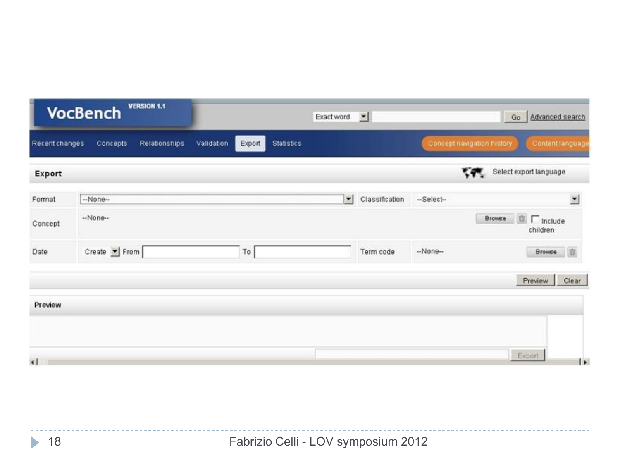| <b>VERSION 1.1</b><br><b>VocBench</b> |                           | $\mathbf{r}$<br>Exact word                |                      |                | Go<br>Advanced search |                            |                                |                        |
|---------------------------------------|---------------------------|-------------------------------------------|----------------------|----------------|-----------------------|----------------------------|--------------------------------|------------------------|
| Recent changes                        | Concepts<br>Relationships | <b>Statistics</b><br>Validation<br>Export |                      |                |                       | Concept navigation history | Content language               |                        |
| Export                                |                           |                                           |                      |                |                       | 345                        | Select export language         |                        |
| Format                                | --None-                   |                                           | $\blacktriangledown$ | Classification | --Select--            |                            | $\overline{\phantom{a}}$       |                        |
| Concept                               | $-None-$                  |                                           |                      |                |                       | <b>Browse</b>              | <b>图 厂</b> Include<br>children |                        |
| Date                                  | Create From               | To                                        |                      | Term code      | $-None-$              |                            | 商<br><b>Browse</b>             |                        |
|                                       |                           |                                           |                      |                |                       |                            | Clear<br>Preview               |                        |
| Preview                               |                           |                                           |                      |                |                       |                            |                                |                        |
|                                       |                           |                                           |                      |                |                       |                            |                                |                        |
| $\left  \cdot \right $                |                           |                                           |                      |                |                       |                            | Export                         | $\left  \cdot \right $ |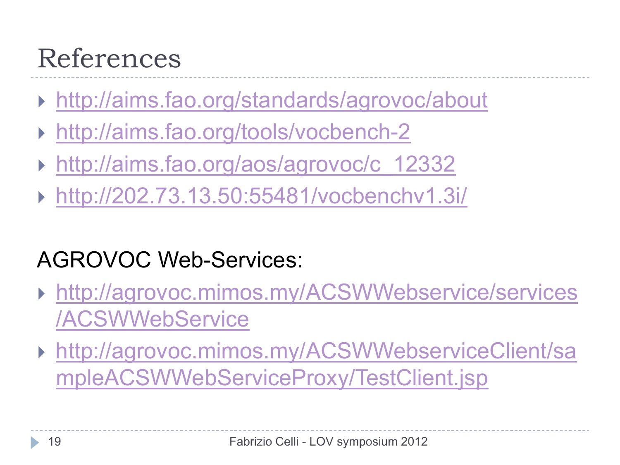#### References

- <http://aims.fao.org/standards/agrovoc/about>
- <http://aims.fao.org/tools/vocbench-2>
- [http://aims.fao.org/aos/agrovoc/c\\_12332](http://aims.fao.org/aos/agrovoc/c_12332)
- <http://202.73.13.50:55481/vocbenchv1.3i/>

#### AGROVOC Web-Services:

- [http://agrovoc.mimos.my/ACSWWebservice/services](http://agrovoc.mimos.my/ACSWWebservice/services/ACSWWebService) [/ACSWWebService](http://agrovoc.mimos.my/ACSWWebservice/services/ACSWWebService)
- [http://agrovoc.mimos.my/ACSWWebserviceClient/sa](http://agrovoc.mimos.my/ACSWWebserviceClient/sampleACSWWebServiceProxy/TestClient.jsp) [mpleACSWWebServiceProxy/TestClient.jsp](http://agrovoc.mimos.my/ACSWWebserviceClient/sampleACSWWebServiceProxy/TestClient.jsp)